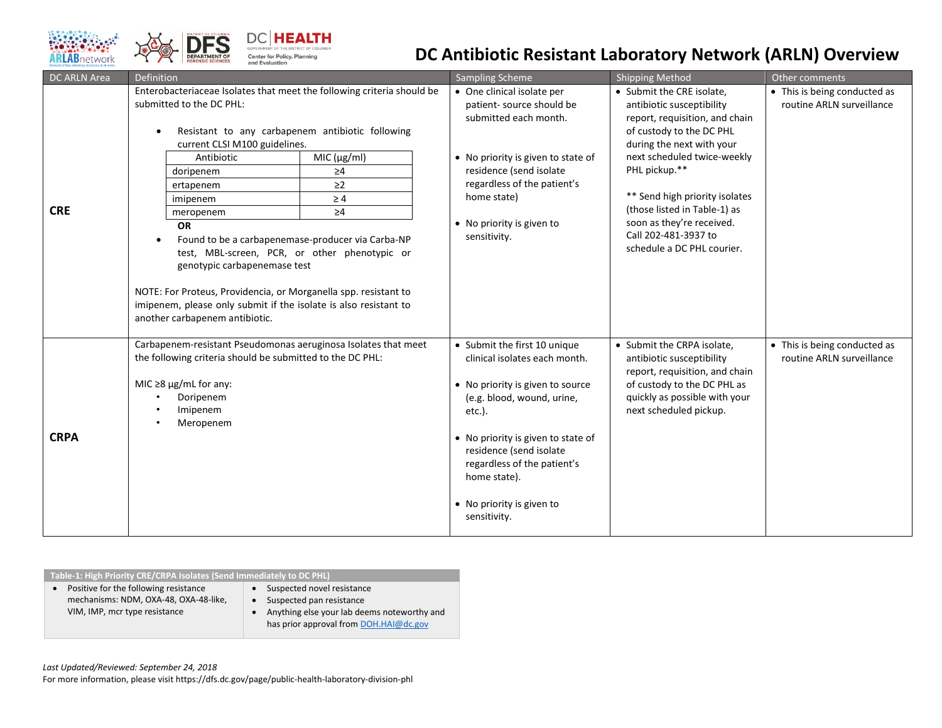



## **DC Antibiotic Resistant Laboratory Network (ARLN) Overview**

| DC ARLN Area | Definition                                                                                                                                                                                                                                                                                                                                                                                                                                                                                                                                                                                                                                          | Sampling Scheme                                                                                                                                                                                                                                                                                           | <b>Shipping Method</b>                                                                                                                                                                                                                                                                                                                                 | Other comments                                            |
|--------------|-----------------------------------------------------------------------------------------------------------------------------------------------------------------------------------------------------------------------------------------------------------------------------------------------------------------------------------------------------------------------------------------------------------------------------------------------------------------------------------------------------------------------------------------------------------------------------------------------------------------------------------------------------|-----------------------------------------------------------------------------------------------------------------------------------------------------------------------------------------------------------------------------------------------------------------------------------------------------------|--------------------------------------------------------------------------------------------------------------------------------------------------------------------------------------------------------------------------------------------------------------------------------------------------------------------------------------------------------|-----------------------------------------------------------|
| <b>CRE</b>   | Enterobacteriaceae Isolates that meet the following criteria should be<br>submitted to the DC PHL:<br>Resistant to any carbapenem antibiotic following<br>current CLSI M100 guidelines.<br>Antibiotic<br>MIC (µg/ml)<br>$\geq 4$<br>doripenem<br>$\geq$ 2<br>ertapenem<br>$\geq 4$<br>imipenem<br>$\geq 4$<br>meropenem<br><b>OR</b><br>Found to be a carbapenemase-producer via Carba-NP<br>test, MBL-screen, PCR, or other phenotypic or<br>genotypic carbapenemase test<br>NOTE: For Proteus, Providencia, or Morganella spp. resistant to<br>imipenem, please only submit if the isolate is also resistant to<br>another carbapenem antibiotic. | • One clinical isolate per<br>patient-source should be<br>submitted each month.<br>• No priority is given to state of<br>residence (send isolate<br>regardless of the patient's<br>home state)<br>• No priority is given to<br>sensitivity.                                                               | • Submit the CRE isolate,<br>antibiotic susceptibility<br>report, requisition, and chain<br>of custody to the DC PHL<br>during the next with your<br>next scheduled twice-weekly<br>PHL pickup.**<br>** Send high priority isolates<br>(those listed in Table-1) as<br>soon as they're received.<br>Call 202-481-3937 to<br>schedule a DC PHL courier. | • This is being conducted as<br>routine ARLN surveillance |
| <b>CRPA</b>  | Carbapenem-resistant Pseudomonas aeruginosa Isolates that meet<br>the following criteria should be submitted to the DC PHL:<br>MIC $\geq$ 8 µg/mL for any:<br>Doripenem<br>Imipenem<br>Meropenem                                                                                                                                                                                                                                                                                                                                                                                                                                                    | • Submit the first 10 unique<br>clinical isolates each month.<br>• No priority is given to source<br>(e.g. blood, wound, urine,<br>$etc.$ ).<br>• No priority is given to state of<br>residence (send isolate<br>regardless of the patient's<br>home state).<br>• No priority is given to<br>sensitivity. | • Submit the CRPA isolate,<br>antibiotic susceptibility<br>report, requisition, and chain<br>of custody to the DC PHL as<br>quickly as possible with your<br>next scheduled pickup.                                                                                                                                                                    | • This is being conducted as<br>routine ARLN surveillance |

| Table-1: High Priority CRE/CRPA Isolates (Send Immediately to DC PHL)                                           |                                                                                                                                                 |  |  |  |  |  |  |
|-----------------------------------------------------------------------------------------------------------------|-------------------------------------------------------------------------------------------------------------------------------------------------|--|--|--|--|--|--|
| Positive for the following resistance<br>mechanisms: NDM, OXA-48, OXA-48-like,<br>VIM, IMP, mcr type resistance | Suspected novel resistance<br>Suspected pan resistance<br>Anything else your lab deems noteworthy and<br>has prior approval from DOH.HAI@dc.gov |  |  |  |  |  |  |
|                                                                                                                 |                                                                                                                                                 |  |  |  |  |  |  |

*Last Updated/Reviewed: September 24, 2018* 

For more information, please visit https://dfs.dc.gov/page/public-health-laboratory-division-phl